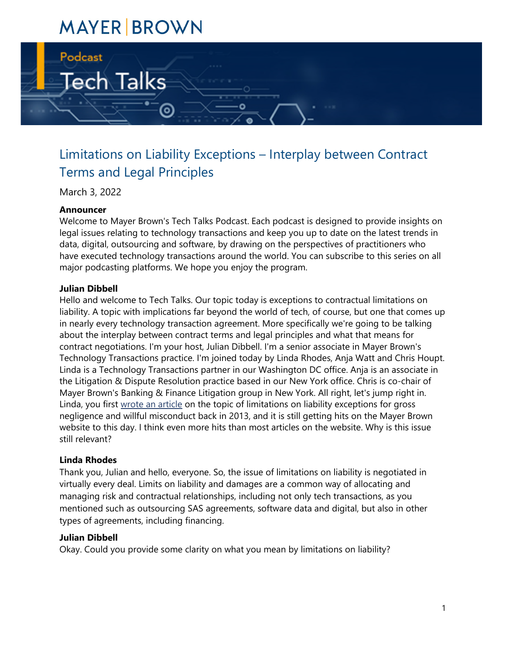# **MAYER BROWN**

⊚

Tech Talks

# Limitations on Liability Exceptions – Interplay between Contract Terms and Legal Principles

March 3, 2022

#### **Announcer**

Podcast

Welcome to Mayer Brown's Tech Talks Podcast. Each podcast is designed to provide insights on legal issues relating to technology transactions and keep you up to date on the latest trends in data, digital, outsourcing and software, by drawing on the perspectives of practitioners who have executed technology transactions around the world. You can subscribe to this series on all major podcasting platforms. We hope you enjoy the program.

#### **Julian Dibbell**

Hello and welcome to Tech Talks. Our topic today is exceptions to contractual limitations on liability. A topic with implications far beyond the world of tech, of course, but one that comes up in nearly every technology transaction agreement. More specifically we're going to be talking about the interplay between contract terms and legal principles and what that means for contract negotiations. I'm your host, Julian Dibbell. I'm a senior associate in Mayer Brown's Technology Transactions practice. I'm joined today by Linda Rhodes, Anja Watt and Chris Houpt. Linda is a Technology Transactions partner in our Washington DC office. Anja is an associate in the Litigation & Dispute Resolution practice based in our New York office. Chris is co-chair of Mayer Brown's Banking & Finance Litigation group in New York. All right, let's jump right in. Linda, you first [wrote an article](https://www.mayerbrown.com/en/perspectives-events/publications/2013/08/limitations-on-liability-exceptions-for-gross-negl) on the topic of limitations on liability exceptions for gross negligence and willful misconduct back in 2013, and it is still getting hits on the Mayer Brown website to this day. I think even more hits than most articles on the website. Why is this issue still relevant?

#### **Linda Rhodes**

Thank you, Julian and hello, everyone. So, the issue of limitations on liability is negotiated in virtually every deal. Limits on liability and damages are a common way of allocating and managing risk and contractual relationships, including not only tech transactions, as you mentioned such as outsourcing SAS agreements, software data and digital, but also in other types of agreements, including financing.

#### **Julian Dibbell**

Okay. Could you provide some clarity on what you mean by limitations on liability?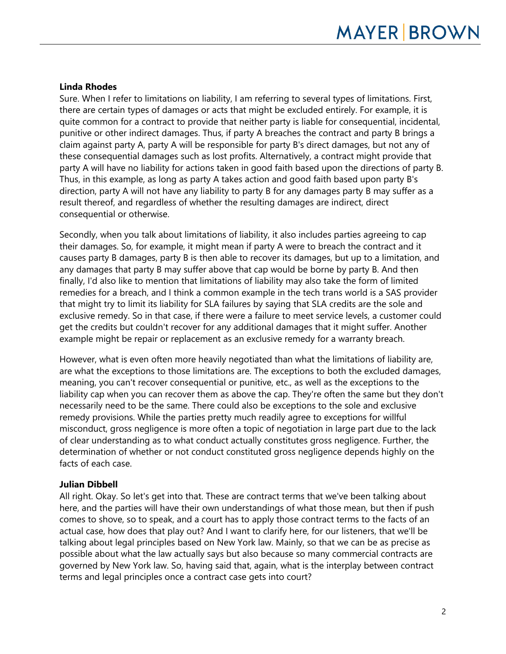#### **Linda Rhodes**

Sure. When I refer to limitations on liability, I am referring to several types of limitations. First, there are certain types of damages or acts that might be excluded entirely. For example, it is quite common for a contract to provide that neither party is liable for consequential, incidental, punitive or other indirect damages. Thus, if party A breaches the contract and party B brings a claim against party A, party A will be responsible for party B's direct damages, but not any of these consequential damages such as lost profits. Alternatively, a contract might provide that party A will have no liability for actions taken in good faith based upon the directions of party B. Thus, in this example, as long as party A takes action and good faith based upon party B's direction, party A will not have any liability to party B for any damages party B may suffer as a result thereof, and regardless of whether the resulting damages are indirect, direct consequential or otherwise.

Secondly, when you talk about limitations of liability, it also includes parties agreeing to cap their damages. So, for example, it might mean if party A were to breach the contract and it causes party B damages, party B is then able to recover its damages, but up to a limitation, and any damages that party B may suffer above that cap would be borne by party B. And then finally, I'd also like to mention that limitations of liability may also take the form of limited remedies for a breach, and I think a common example in the tech trans world is a SAS provider that might try to limit its liability for SLA failures by saying that SLA credits are the sole and exclusive remedy. So in that case, if there were a failure to meet service levels, a customer could get the credits but couldn't recover for any additional damages that it might suffer. Another example might be repair or replacement as an exclusive remedy for a warranty breach.

However, what is even often more heavily negotiated than what the limitations of liability are, are what the exceptions to those limitations are. The exceptions to both the excluded damages, meaning, you can't recover consequential or punitive, etc., as well as the exceptions to the liability cap when you can recover them as above the cap. They're often the same but they don't necessarily need to be the same. There could also be exceptions to the sole and exclusive remedy provisions. While the parties pretty much readily agree to exceptions for willful misconduct, gross negligence is more often a topic of negotiation in large part due to the lack of clear understanding as to what conduct actually constitutes gross negligence. Further, the determination of whether or not conduct constituted gross negligence depends highly on the facts of each case.

# **Julian Dibbell**

All right. Okay. So let's get into that. These are contract terms that we've been talking about here, and the parties will have their own understandings of what those mean, but then if push comes to shove, so to speak, and a court has to apply those contract terms to the facts of an actual case, how does that play out? And I want to clarify here, for our listeners, that we'll be talking about legal principles based on New York law. Mainly, so that we can be as precise as possible about what the law actually says but also because so many commercial contracts are governed by New York law. So, having said that, again, what is the interplay between contract terms and legal principles once a contract case gets into court?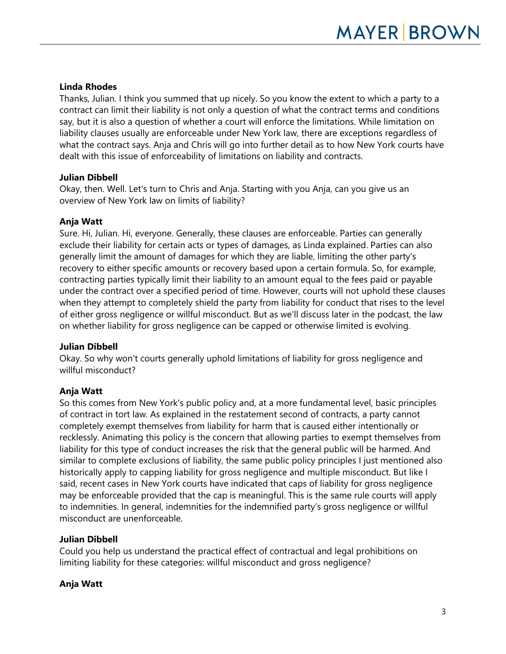# **Linda Rhodes**

Thanks, Julian. I think you summed that up nicely. So you know the extent to which a party to a contract can limit their liability is not only a question of what the contract terms and conditions say, but it is also a question of whether a court will enforce the limitations. While limitation on liability clauses usually are enforceable under New York law, there are exceptions regardless of what the contract says. Anja and Chris will go into further detail as to how New York courts have dealt with this issue of enforceability of limitations on liability and contracts.

# **Julian Dibbell**

Okay, then. Well. Let's turn to Chris and Anja. Starting with you Anja, can you give us an overview of New York law on limits of liability?

# **Anja Watt**

Sure. Hi, Julian. Hi, everyone. Generally, these clauses are enforceable. Parties can generally exclude their liability for certain acts or types of damages, as Linda explained. Parties can also generally limit the amount of damages for which they are liable, limiting the other party's recovery to either specific amounts or recovery based upon a certain formula. So, for example, contracting parties typically limit their liability to an amount equal to the fees paid or payable under the contract over a specified period of time. However, courts will not uphold these clauses when they attempt to completely shield the party from liability for conduct that rises to the level of either gross negligence or willful misconduct. But as we'll discuss later in the podcast, the law on whether liability for gross negligence can be capped or otherwise limited is evolving.

# **Julian Dibbell**

Okay. So why won't courts generally uphold limitations of liability for gross negligence and willful misconduct?

# **Anja Watt**

So this comes from New York's public policy and, at a more fundamental level, basic principles of contract in tort law. As explained in the restatement second of contracts, a party cannot completely exempt themselves from liability for harm that is caused either intentionally or recklessly. Animating this policy is the concern that allowing parties to exempt themselves from liability for this type of conduct increases the risk that the general public will be harmed. And similar to complete exclusions of liability, the same public policy principles I just mentioned also historically apply to capping liability for gross negligence and multiple misconduct. But like I said, recent cases in New York courts have indicated that caps of liability for gross negligence may be enforceable provided that the cap is meaningful. This is the same rule courts will apply to indemnities. In general, indemnities for the indemnified party's gross negligence or willful misconduct are unenforceable.

# **Julian Dibbell**

Could you help us understand the practical effect of contractual and legal prohibitions on limiting liability for these categories: willful misconduct and gross negligence?

# **Anja Watt**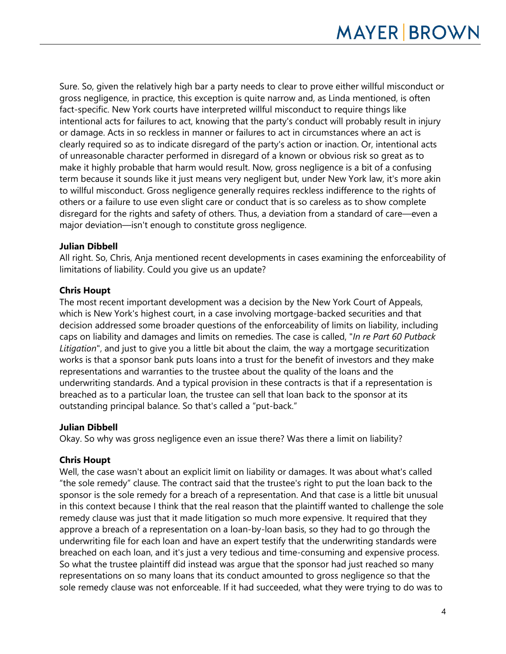Sure. So, given the relatively high bar a party needs to clear to prove either willful misconduct or gross negligence, in practice, this exception is quite narrow and, as Linda mentioned, is often fact-specific. New York courts have interpreted willful misconduct to require things like intentional acts for failures to act, knowing that the party's conduct will probably result in injury or damage. Acts in so reckless in manner or failures to act in circumstances where an act is clearly required so as to indicate disregard of the party's action or inaction. Or, intentional acts of unreasonable character performed in disregard of a known or obvious risk so great as to make it highly probable that harm would result. Now, gross negligence is a bit of a confusing term because it sounds like it just means very negligent but, under New York law, it's more akin to willful misconduct. Gross negligence generally requires reckless indifference to the rights of others or a failure to use even slight care or conduct that is so careless as to show complete disregard for the rights and safety of others. Thus, a deviation from a standard of care—even a major deviation—isn't enough to constitute gross negligence.

# **Julian Dibbell**

All right. So, Chris, Anja mentioned recent developments in cases examining the enforceability of limitations of liability. Could you give us an update?

# **Chris Houpt**

The most recent important development was a decision by the New York Court of Appeals, which is New York's highest court, in a case involving mortgage-backed securities and that decision addressed some broader questions of the enforceability of limits on liability, including caps on liability and damages and limits on remedies. The case is called, "*In re Part 60 Putback Litigation*", and just to give you a little bit about the claim, the way a mortgage securitization works is that a sponsor bank puts loans into a trust for the benefit of investors and they make representations and warranties to the trustee about the quality of the loans and the underwriting standards. And a typical provision in these contracts is that if a representation is breached as to a particular loan, the trustee can sell that loan back to the sponsor at its outstanding principal balance. So that's called a "put-back."

# **Julian Dibbell**

Okay. So why was gross negligence even an issue there? Was there a limit on liability?

# **Chris Houpt**

Well, the case wasn't about an explicit limit on liability or damages. It was about what's called "the sole remedy" clause. The contract said that the trustee's right to put the loan back to the sponsor is the sole remedy for a breach of a representation. And that case is a little bit unusual in this context because I think that the real reason that the plaintiff wanted to challenge the sole remedy clause was just that it made litigation so much more expensive. It required that they approve a breach of a representation on a loan-by-loan basis, so they had to go through the underwriting file for each loan and have an expert testify that the underwriting standards were breached on each loan, and it's just a very tedious and time-consuming and expensive process. So what the trustee plaintiff did instead was argue that the sponsor had just reached so many representations on so many loans that its conduct amounted to gross negligence so that the sole remedy clause was not enforceable. If it had succeeded, what they were trying to do was to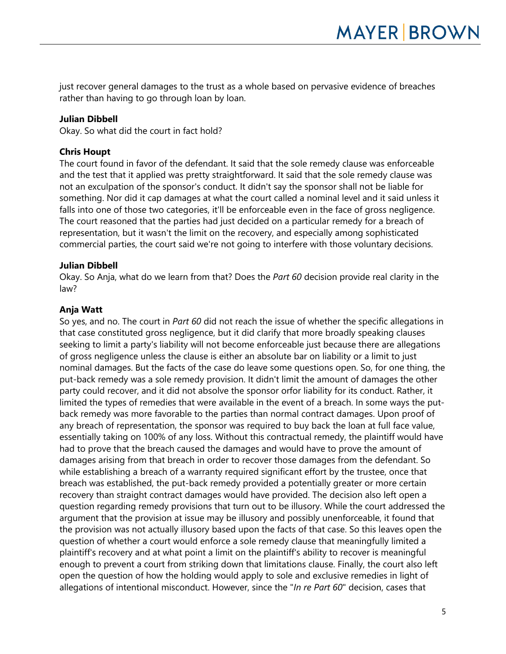just recover general damages to the trust as a whole based on pervasive evidence of breaches rather than having to go through loan by loan.

#### **Julian Dibbell**

Okay. So what did the court in fact hold?

#### **Chris Houpt**

The court found in favor of the defendant. It said that the sole remedy clause was enforceable and the test that it applied was pretty straightforward. It said that the sole remedy clause was not an exculpation of the sponsor's conduct. It didn't say the sponsor shall not be liable for something. Nor did it cap damages at what the court called a nominal level and it said unless it falls into one of those two categories, it'll be enforceable even in the face of gross negligence. The court reasoned that the parties had just decided on a particular remedy for a breach of representation, but it wasn't the limit on the recovery, and especially among sophisticated commercial parties, the court said we're not going to interfere with those voluntary decisions.

#### **Julian Dibbell**

Okay. So Anja, what do we learn from that? Does the *Part 60* decision provide real clarity in the law?

#### **Anja Watt**

So yes, and no. The court in *Part 60* did not reach the issue of whether the specific allegations in that case constituted gross negligence, but it did clarify that more broadly speaking clauses seeking to limit a party's liability will not become enforceable just because there are allegations of gross negligence unless the clause is either an absolute bar on liability or a limit to just nominal damages. But the facts of the case do leave some questions open. So, for one thing, the put-back remedy was a sole remedy provision. It didn't limit the amount of damages the other party could recover, and it did not absolve the sponsor orfor liability for its conduct. Rather, it limited the types of remedies that were available in the event of a breach. In some ways the putback remedy was more favorable to the parties than normal contract damages. Upon proof of any breach of representation, the sponsor was required to buy back the loan at full face value, essentially taking on 100% of any loss. Without this contractual remedy, the plaintiff would have had to prove that the breach caused the damages and would have to prove the amount of damages arising from that breach in order to recover those damages from the defendant. So while establishing a breach of a warranty required significant effort by the trustee, once that breach was established, the put-back remedy provided a potentially greater or more certain recovery than straight contract damages would have provided. The decision also left open a question regarding remedy provisions that turn out to be illusory. While the court addressed the argument that the provision at issue may be illusory and possibly unenforceable, it found that the provision was not actually illusory based upon the facts of that case. So this leaves open the question of whether a court would enforce a sole remedy clause that meaningfully limited a plaintiff's recovery and at what point a limit on the plaintiff's ability to recover is meaningful enough to prevent a court from striking down that limitations clause. Finally, the court also left open the question of how the holding would apply to sole and exclusive remedies in light of allegations of intentional misconduct. However, since the "*In re Part 60*" decision, cases that